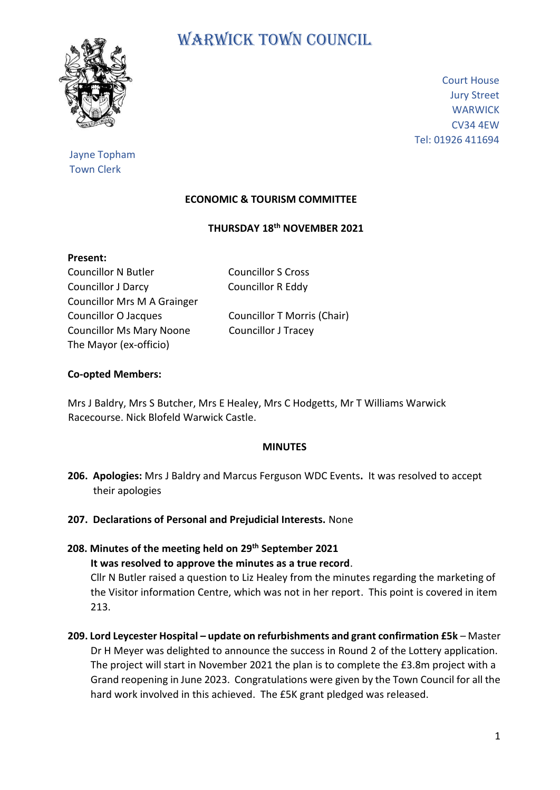

# WARWICK TOWN COUNCIL

Court House Jury Street **WARWICK** CV34 4EW Tel: 01926 411694

# Jayne Topham Town Clerk

# **ECONOMIC & TOURISM COMMITTEE**

## **THURSDAY 18th NOVEMBER 2021**

| Present:         |  |
|------------------|--|
| Councillor N Bu  |  |
| Caunailler I Dai |  |

Councillor J Darcy Councillor R Eddy Councillor Mrs M A Grainger Councillor O Jacques Councillor T Morris (Chair) Councillor Ms Mary Noone Councillor J Tracey The Mayor (ex-officio)

Itler Councillor S Cross

# **Co-opted Members:**

Mrs J Baldry, Mrs S Butcher, Mrs E Healey, Mrs C Hodgetts, Mr T Williams Warwick Racecourse. Nick Blofeld Warwick Castle.

#### **MINUTES**

- **206. Apologies:** Mrs J Baldry and Marcus Ferguson WDC Events**.** It was resolved to accept their apologies
- **207. Declarations of Personal and Prejudicial Interests.** None
- **208. Minutes of the meeting held on 29 th September 2021 It was resolved to approve the minutes as a true record**. Cllr N Butler raised a question to Liz Healey from the minutes regarding the marketing of the Visitor information Centre, which was not in her report. This point is covered in item 213.
- **209. Lord Leycester Hospital – update on refurbishments and grant confirmation £5k**  Master Dr H Meyer was delighted to announce the success in Round 2 of the Lottery application. The project will start in November 2021 the plan is to complete the £3.8m project with a Grand reopening in June 2023. Congratulations were given by the Town Council for all the hard work involved in this achieved. The £5K grant pledged was released.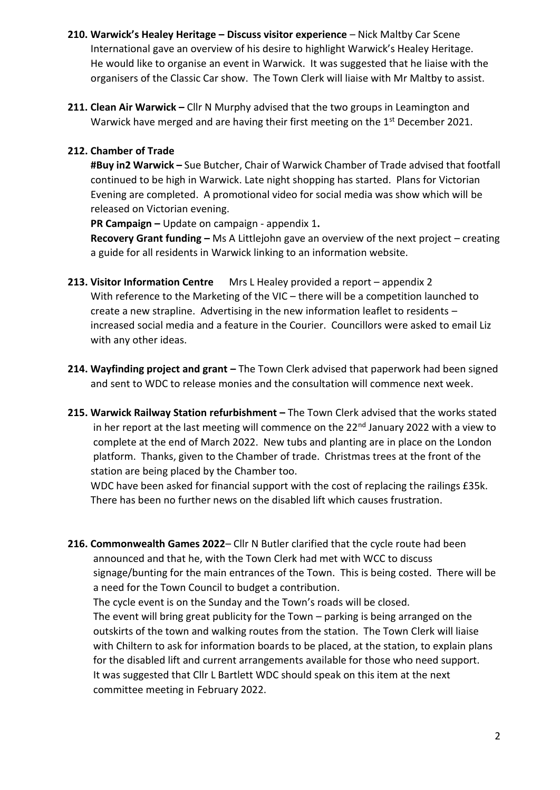- **210. Warwick's Healey Heritage – Discuss visitor experience**  Nick Maltby Car Scene International gave an overview of his desire to highlight Warwick's Healey Heritage. He would like to organise an event in Warwick. It was suggested that he liaise with the organisers of the Classic Car show. The Town Clerk will liaise with Mr Maltby to assist.
- **211. Clean Air Warwick –** Cllr N Murphy advised that the two groups in Leamington and Warwick have merged and are having their first meeting on the 1st December 2021.

## **212. Chamber of Trade**

 **#Buy in2 Warwick –** Sue Butcher, Chair of Warwick Chamber of Trade advised that footfall continued to be high in Warwick. Late night shopping has started. Plans for Victorian Evening are completed. A promotional video for social media was show which will be released on Victorian evening.

 **PR Campaign –** Update on campaign - appendix 1**.**

 **Recovery Grant funding –** Ms A Littlejohn gave an overview of the next project – creating a guide for all residents in Warwick linking to an information website.

- **213. Visitor Information Centre** Mrs L Healey provided a report appendix 2 With reference to the Marketing of the VIC – there will be a competition launched to create a new strapline. Advertising in the new information leaflet to residents – increased social media and a feature in the Courier. Councillors were asked to email Liz with any other ideas.
- **214. Wayfinding project and grant –** The Town Clerk advised that paperwork had been signed and sent to WDC to release monies and the consultation will commence next week.
- **215. Warwick Railway Station refurbishment –** The Town Clerk advised that the works stated in her report at the last meeting will commence on the 22<sup>nd</sup> January 2022 with a view to complete at the end of March 2022. New tubs and planting are in place on the London platform. Thanks, given to the Chamber of trade. Christmas trees at the front of the station are being placed by the Chamber too.

 WDC have been asked for financial support with the cost of replacing the railings £35k. There has been no further news on the disabled lift which causes frustration.

**216. Commonwealth Games 2022**– Cllr N Butler clarified that the cycle route had been announced and that he, with the Town Clerk had met with WCC to discuss signage/bunting for the main entrances of the Town. This is being costed. There will be a need for the Town Council to budget a contribution. The cycle event is on the Sunday and the Town's roads will be closed.

 The event will bring great publicity for the Town – parking is being arranged on the outskirts of the town and walking routes from the station. The Town Clerk will liaise with Chiltern to ask for information boards to be placed, at the station, to explain plans for the disabled lift and current arrangements available for those who need support. It was suggested that Cllr L Bartlett WDC should speak on this item at the next committee meeting in February 2022.